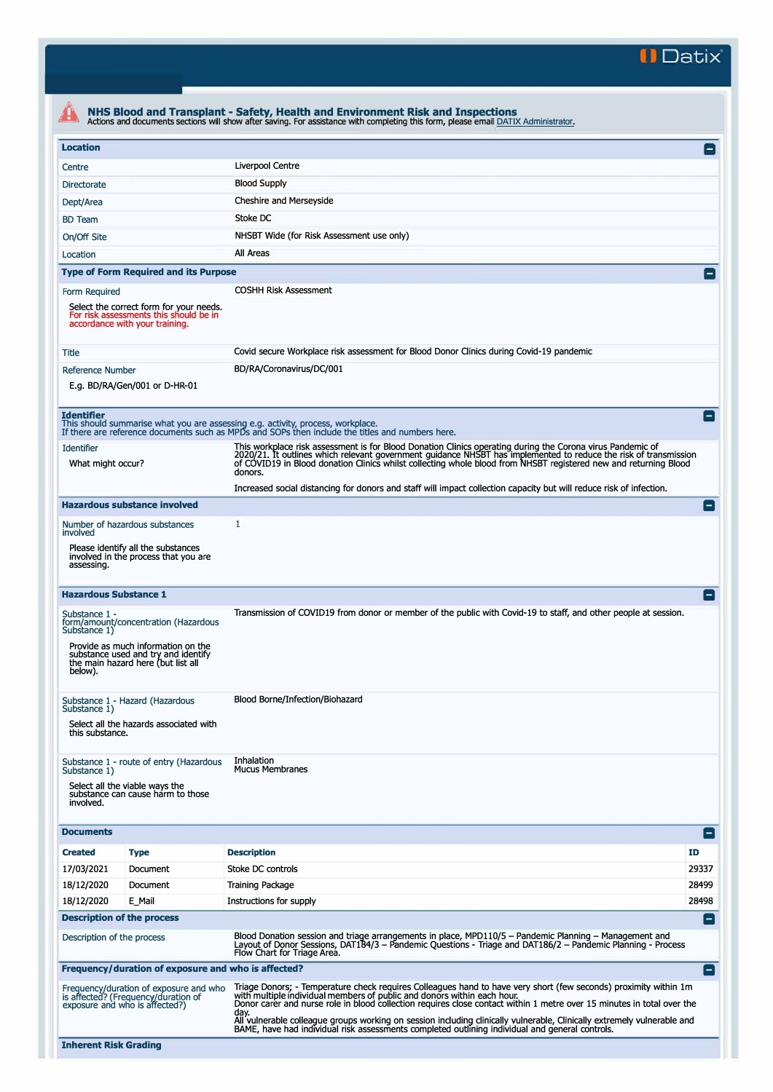**II Datix"** 

| <b>Location</b>                                                                                                                                                                                        |                                                                                                                                                                                                                                                                                                                                                                                                                                                                                                                                                             | $\overline{\phantom{0}}$ |
|--------------------------------------------------------------------------------------------------------------------------------------------------------------------------------------------------------|-------------------------------------------------------------------------------------------------------------------------------------------------------------------------------------------------------------------------------------------------------------------------------------------------------------------------------------------------------------------------------------------------------------------------------------------------------------------------------------------------------------------------------------------------------------|--------------------------|
| Centre                                                                                                                                                                                                 | Liverpool Centre                                                                                                                                                                                                                                                                                                                                                                                                                                                                                                                                            |                          |
| Directorate                                                                                                                                                                                            | <b>Blood Supply</b>                                                                                                                                                                                                                                                                                                                                                                                                                                                                                                                                         |                          |
| Dept/Area                                                                                                                                                                                              | Cheshire and Merseyside                                                                                                                                                                                                                                                                                                                                                                                                                                                                                                                                     |                          |
| <b>BD</b> Team                                                                                                                                                                                         | Stoke DC                                                                                                                                                                                                                                                                                                                                                                                                                                                                                                                                                    |                          |
| On/Off Site                                                                                                                                                                                            | NHSBT Wide (for Risk Assessment use only)                                                                                                                                                                                                                                                                                                                                                                                                                                                                                                                   |                          |
| Location                                                                                                                                                                                               | All Areas                                                                                                                                                                                                                                                                                                                                                                                                                                                                                                                                                   |                          |
| <b>Type of Form Required and its Purpose</b>                                                                                                                                                           |                                                                                                                                                                                                                                                                                                                                                                                                                                                                                                                                                             | $\vert - \vert$          |
|                                                                                                                                                                                                        | <b>COSHH Risk Assessment</b>                                                                                                                                                                                                                                                                                                                                                                                                                                                                                                                                |                          |
| Form Required<br>Select the correct form for your needs.<br>For risk assessments this should be in<br>accordance with your training.                                                                   |                                                                                                                                                                                                                                                                                                                                                                                                                                                                                                                                                             |                          |
| Title                                                                                                                                                                                                  | Covid secure Workplace risk assessment for Blood Donor Clinics during Covid-19 pandemic                                                                                                                                                                                                                                                                                                                                                                                                                                                                     |                          |
| <b>Reference Number</b><br>E.g. BD/RA/Gen/001 or D-HR-01                                                                                                                                               | BD/RA/Coronavirus/DC/001                                                                                                                                                                                                                                                                                                                                                                                                                                                                                                                                    |                          |
| <b>Identifier</b><br>This should summarise what you are assessing e.g. activity, process, workplace.                                                                                                   | If there are reference documents such as MPDs and SOPs then include the titles and numbers here.                                                                                                                                                                                                                                                                                                                                                                                                                                                            |                          |
| <b>Identifier</b><br>What might occur?                                                                                                                                                                 | This workplace risk assessment is for Blood Donation Clinics operating during the Corona virus Pandemic of<br>2020/21. It outlines which relevant government guidance NHSBT has implemented to reduce the risk of transmission<br>of COVID19 in Blood donation Clinics whilst collecting whole blood from NHSBT registered new and returning Blood<br>donors.                                                                                                                                                                                               |                          |
|                                                                                                                                                                                                        | Increased social distancing for donors and staff will impact collection capacity but will reduce risk of infection.                                                                                                                                                                                                                                                                                                                                                                                                                                         |                          |
| <b>Hazardous substance involved</b>                                                                                                                                                                    |                                                                                                                                                                                                                                                                                                                                                                                                                                                                                                                                                             | $\blacksquare$           |
| Number of hazardous substances<br>involved                                                                                                                                                             | 1                                                                                                                                                                                                                                                                                                                                                                                                                                                                                                                                                           |                          |
| Please identify all the substances<br>involved in the process that you are<br>assessing.                                                                                                               |                                                                                                                                                                                                                                                                                                                                                                                                                                                                                                                                                             |                          |
| <b>Hazardous Substance 1</b>                                                                                                                                                                           |                                                                                                                                                                                                                                                                                                                                                                                                                                                                                                                                                             | $\vert - \vert$          |
| Substance 1 -<br>form/amount/concentration (Hazardous<br>Substance 1)<br>Provide as much information on the<br>substance used and try and identify<br>the main hazard here (but list all<br>below).    | Transmission of COVID19 from donor or member of the public with Covid-19 to staff, and other people at session.                                                                                                                                                                                                                                                                                                                                                                                                                                             |                          |
| Substance 1 - Hazard (Hazardous<br>Substance 1)<br>Select all the hazards associated with<br>this substance.                                                                                           | Blood Borne/Infection/Biohazard                                                                                                                                                                                                                                                                                                                                                                                                                                                                                                                             |                          |
| Substance 1 - route of entry (Hazardous<br>Substance 1)<br>Select all the viable ways the<br>substance can cause harm to those<br>involved.                                                            | Inhalation<br><b>Mucus Membranes</b>                                                                                                                                                                                                                                                                                                                                                                                                                                                                                                                        |                          |
|                                                                                                                                                                                                        |                                                                                                                                                                                                                                                                                                                                                                                                                                                                                                                                                             |                          |
|                                                                                                                                                                                                        |                                                                                                                                                                                                                                                                                                                                                                                                                                                                                                                                                             | l-l                      |
| <b>Type</b>                                                                                                                                                                                            | <b>Description</b>                                                                                                                                                                                                                                                                                                                                                                                                                                                                                                                                          | ID                       |
| Document                                                                                                                                                                                               | Stoke DC controls                                                                                                                                                                                                                                                                                                                                                                                                                                                                                                                                           | 29337                    |
| Document                                                                                                                                                                                               | Training Package                                                                                                                                                                                                                                                                                                                                                                                                                                                                                                                                            | 28499                    |
| E Mail                                                                                                                                                                                                 | Instructions for supply                                                                                                                                                                                                                                                                                                                                                                                                                                                                                                                                     | 28498                    |
|                                                                                                                                                                                                        |                                                                                                                                                                                                                                                                                                                                                                                                                                                                                                                                                             | $\blacksquare$           |
|                                                                                                                                                                                                        | Blood Donation session and triage arrangements in place, MPD110/5 - Pandemic Planning - Management and<br>Layout of Donor Sessions, DAT184/3 – Pandemic Questions - Triage and DAT186/2 – Pandemic Planning - Process                                                                                                                                                                                                                                                                                                                                       |                          |
| <b>Documents</b><br><b>Created</b><br>17/03/2021<br>18/12/2020<br>18/12/2020<br><b>Description of the process</b><br>Description of the process<br>Frequency/duration of exposure and who is affected? | Flow Chart for Triage Area.                                                                                                                                                                                                                                                                                                                                                                                                                                                                                                                                 | $ - $                    |
| Frequency/duration of exposure and who<br>is affected? (Frequency/duration of<br>exposure and who is affected?)                                                                                        | Triage Donors; - Temperature check requires Colleagues hand to have very short (few seconds) proximity within 1m<br>with multiple individual members of public and donors within each hour.<br>Donor carer and nurse role in blood collection requires close contact within 1 metre over 15 minutes in total over the<br>day.<br>All vulnerable colleague groups working on session including clinically vulnerable, Clinically extremely vulnerable and<br>BAME, have had individual risk assessments completed outlining individual and general controls. |                          |